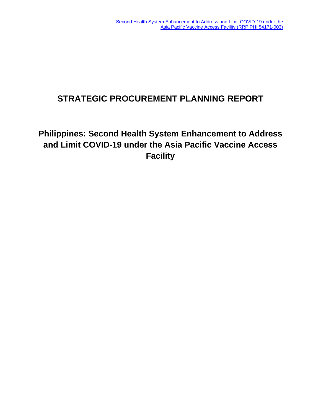# **STRATEGIC PROCUREMENT PLANNING REPORT**

# **Philippines: Second Health System Enhancement to Address and Limit COVID-19 under the Asia Pacific Vaccine Access Facility**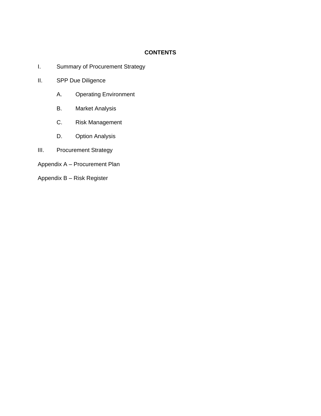# **CONTENTS**

- I. Summary of Procurement Strategy
- II. SPP Due Diligence
	- A. Operating Environment
	- B. Market Analysis
	- C. Risk Management
	- D. Option Analysis
- III. Procurement Strategy
- Appendix A Procurement Plan
- Appendix B Risk Register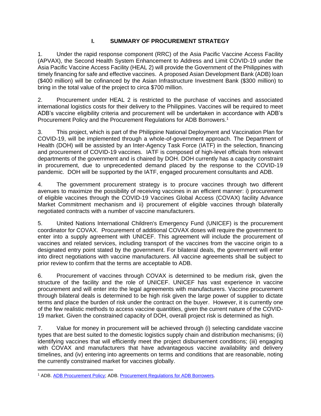## **I. SUMMARY OF PROCUREMENT STRATEGY**

1. Under the rapid response component (RRC) of the Asia Pacific Vaccine Access Facility (APVAX), the Second Health System Enhancement to Address and Limit COVID-19 under the Asia Pacific Vaccine Access Facility (HEAL 2) will provide the Government of the Philippines with timely financing for safe and effective vaccines. A proposed Asian Development Bank (ADB) loan (\$400 million) will be cofinanced by the Asian Infrastructure Investment Bank (\$300 million) to bring in the total value of the project to circa \$700 million.

2. Procurement under HEAL 2 is restricted to the purchase of vaccines and associated international logistics costs for their delivery to the Philippines. Vaccines will be required to meet ADB's vaccine eligibility criteria and procurement will be undertaken in accordance with ADB's Procurement Policy and the Procurement Regulations for ADB Borrowers. 1

3. This project, which is part of the Philippine National Deployment and Vaccination Plan for COVID-19, will be implemented through a whole-of-government approach. The Department of Health (DOH) will be assisted by an Inter-Agency Task Force (IATF) in the selection, financing and procurement of COVID-19 vaccines. IATF is composed of high-level officials from relevant departments of the government and is chaired by DOH. DOH currently has a capacity constraint in procurement, due to unprecedented demand placed by the response to the COVID-19 pandemic. DOH will be supported by the IATF, engaged procurement consultants and ADB.

4. The government procurement strategy is to procure vaccines through two different avenues to maximize the possibility of receiving vaccines in an efficient manner: i) procurement of eligible vaccines through the COVID-19 Vaccines Global Access (COVAX) facility Advance Market Commitment mechanism and ii) procurement of eligible vaccines through bilaterally negotiated contracts with a number of vaccine manufacturers.

5. United Nations International Children's Emergency Fund (UNICEF) is the procurement coordinator for COVAX. Procurement of additional COVAX doses will require the government to enter into a supply agreement with UNICEF. This agreement will include the procurement of vaccines and related services, including transport of the vaccines from the vaccine origin to a designated entry point stated by the government. For bilateral deals, the government will enter into direct negotiations with vaccine manufacturers. All vaccine agreements shall be subject to prior review to confirm that the terms are acceptable to ADB.

6. Procurement of vaccines through COVAX is determined to be medium risk, given the structure of the facility and the role of UNICEF. UNICEF has vast experience in vaccine procurement and will enter into the legal agreements with manufacturers. Vaccine procurement through bilateral deals is determined to be high risk given the large power of supplier to dictate terms and place the burden of risk under the contract on the buyer. However, it is currently one of the few realistic methods to access vaccine quantities, given the current nature of the COVID-19 market. Given the constrained capacity of DOH, overall project risk is determined as high.

7. Value for money in procurement will be achieved through (i) selecting candidate vaccine types that are best suited to the domestic logistics supply chain and distribution mechanisms; (ii) identifying vaccines that will efficiently meet the project disbursement conditions; (iii) engaging with COVAX and manufacturers that have advantageous vaccine availability and delivery timelines, and (iv) entering into agreements on terms and conditions that are reasonable, noting the currently constrained market for vaccines globally.

<sup>&</sup>lt;sup>1</sup> ADB. [ADB Procurement Policy;](https://www.adb.org/sites/default/files/adb-procurement-policy.pdf) ADB. [Procurement Regulations for ADB Borrowers.](https://www.adb.org/sites/default/files/procurement-regulations-adb-borrowers.pdf)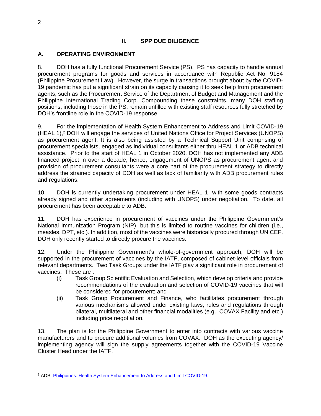## **II. SPP DUE DILIGENCE**

## **A. OPERATING ENVIRONMENT**

8. DOH has a fully functional Procurement Service (PS). PS has capacity to handle annual procurement programs for goods and services in accordance with Republic Act No. 9184 (Philippine Procurement Law). However, the surge in transactions brought about by the COVID-19 pandemic has put a significant strain on its capacity causing it to seek help from procurement agents, such as the Procurement Service of the Department of Budget and Management and the Philippine International Trading Corp. Compounding these constraints, many DOH staffing positions, including those in the PS, remain unfilled with existing staff resources fully stretched by DOH's frontline role in the COVID-19 response.

9. For the implementation of Health System Enhancement to Address and Limit COVID-19 (HEAL 1), <sup>2</sup> DOH will engage the services of United Nations Office for Project Services (UNOPS) as procurement agent. It is also being assisted by a Technical Support Unit comprising of procurement specialists, engaged as individual consultants either thru HEAL 1 or ADB technical assistance. Prior to the start of HEAL 1 in October 2020, DOH has not implemented any ADB financed project in over a decade; hence, engagement of UNOPS as procurement agent and provision of procurement consultants were a core part of the procurement strategy to directly address the strained capacity of DOH as well as lack of familiarity with ADB procurement rules and regulations.

10. DOH is currently undertaking procurement under HEAL 1, with some goods contracts already signed and other agreements (including with UNOPS) under negotiation. To date, all procurement has been acceptable to ADB.

11. DOH has experience in procurement of vaccines under the Philippine Government's National Immunization Program (NIP), but this is limited to routine vaccines for children (i.e., measles, DPT, etc.). In addition, most of the vaccines were historically procured through UNICEF. DOH only recently started to directly procure the vaccines.

12. Under the Philippine Government's whole-of-government approach, DOH will be supported in the procurement of vaccines by the IATF, composed of cabinet-level officials from relevant departments. Two Task Groups under the IATF play a significant role in procurement of vaccines. These are :

- (i) Task Group Scientific Evaluation and Selection, which develop criteria and provide recommendations of the evaluation and selection of COVID-19 vaccines that will be considered for procurement; and
- (ii) Task Group Procurement and Finance, who facilitates procurement through various mechanisms allowed under existing laws, rules and regulations through bilateral, multilateral and other financial modalities (e.g., COVAX Facility and etc.) including price negotiation.

13. The plan is for the Philippine Government to enter into contracts with various vaccine manufacturers and to procure additional volumes from COVAX. DOH as the executing agency/ implementing agency will sign the supply agreements together with the COVID-19 Vaccine Cluster Head under the IATF.

<sup>2</sup> ADB. [Philippines: Health System Enhancement to Address and Limit COVID-19.](https://www.adb.org/projects/54171-002/main)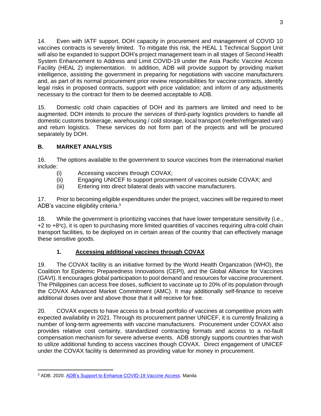14. Even with IATF support, DOH capacity in procurement and management of COVID 10 vaccines contracts is severely limited. To mitigate this risk, the HEAL 1 Technical Support Unit will also be expanded to support DOH's project management team in all stages of Second Health System Enhancement to Address and Limit COVID-19 under the Asia Pacific Vaccine Access Facility (HEAL 2) implementation. In addition, ADB will provide support by providing market intelligence, assisting the government in preparing for negotiations with vaccine manufacturers and, as part of its normal procurement prior review responsibilities for vaccine contracts, identify legal risks in proposed contracts, support with price validation; and inform of any adjustments necessary to the contract for them to be deemed acceptable to ADB.

15. Domestic cold chain capacities of DOH and its partners are limited and need to be augmented. DOH intends to procure the services of third-party logistics providers to handle all domestic customs brokerage, warehousing / cold storage, local transport (reefer/refrigerated van) and return logistics. These services do not form part of the projects and will be procured separately by DOH.

# **B. MARKET ANALYSIS**

16. The options available to the government to source vaccines from the international market include:

- (i) Accessing vaccines through COVAX;
- (ii) Engaging UNICEF to support procurement of vaccines outside COVAX; and
- (iii) Entering into direct bilateral deals with vaccine manufacturers.

17. Prior to becoming eligible expenditures under the project, vaccines will be required to meet ADB's vaccine eligibility criteria.<sup>3</sup>

18. While the government is prioritizing vaccines that have lower temperature sensitivity (i.e., +2 to +8°c), it is open to purchasing more limited quantities of vaccines requiring ultra-cold chain transport facilities, to be deployed on in certain areas of the country that can effectively manage these sensitive goods.

# **1. Accessing additional vaccines through COVAX**

19. The COVAX facility is an initiative formed by the World Health Organization (WHO), the Coalition for Epidemic Preparedness Innovations (CEPI), and the Global Alliance for Vaccines (GAVI). It encourages global participation to pool demand and resources for vaccine procurement. The Philippines can access free doses, sufficient to vaccinate up to 20% of its population through the COVAX Advanced Market Commitment (AMC). It may additionally self-finance to receive additional doses over and above those that it will receive for free.

20. COVAX expects to have access to a broad portfolio of vaccines at competitive prices with expected availability in 2021. Through its procurement partner UNICEF, it is currently finalizing a number of long-term agreements with vaccine manufacturers. Procurement under COVAX also provides relative cost certainty, standardized contracting formats and access to a no-fault compensation mechanism for severe adverse events. ADB strongly supports countries that wish to utilize additional funding to access vaccines though COVAX. Direct engagement of UNICEF under the COVAX facility is determined as providing value for money in procurement.

<sup>&</sup>lt;sup>3</sup> ADB. 2020. [ADB's Support to Enhance COVID-19 Vaccine Access.](https://www.adb.org/sites/default/files/institutional-document/662801/adb-support-covid-19-vaccine-access.pdf) Manila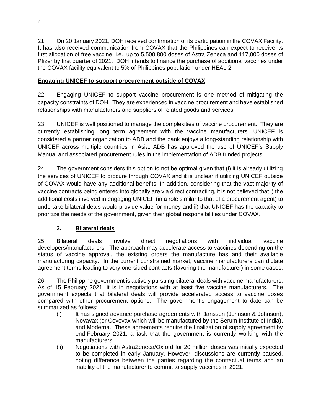21. On 20 January 2021, DOH received confirmation of its participation in the COVAX Facility. It has also received communication from COVAX that the Philippines can expect to receive its first allocation of free vaccine, i.e., up to 5,500,800 doses of Astra Zeneca and 117,000 doses of Pfizer by first quarter of 2021. DOH intends to finance the purchase of additional vaccines under the COVAX facility equivalent to 5% of Philippines population under HEAL 2.

# **Engaging UNICEF to support procurement outside of COVAX**

22. Engaging UNICEF to support vaccine procurement is one method of mitigating the capacity constraints of DOH. They are experienced in vaccine procurement and have established relationships with manufacturers and suppliers of related goods and services.

23. UNICEF is well positioned to manage the complexities of vaccine procurement. They are currently establishing long term agreement with the vaccine manufacturers. UNICEF is considered a partner organization to ADB and the bank enjoys a long-standing relationship with UNICEF across multiple countries in Asia. ADB has approved the use of UNICEF's Supply Manual and associated procurement rules in the implementation of ADB funded projects.

24. The government considers this option to not be optimal given that (i) it is already utilizing the services of UNICEF to procure through COVAX and it is unclear if utilizing UNICEF outside of COVAX would have any additional benefits. In addition, considering that the vast majority of vaccine contracts being entered into globally are via direct contracting, it is not believed that i) the additional costs involved in engaging UNICEF (in a role similar to that of a procurement agent) to undertake bilateral deals would provide value for money and ii) that UNICEF has the capacity to prioritize the needs of the government, given their global responsibilities under COVAX.

# **2. Bilateral deals**

25. Bilateral deals involve direct negotiations with individual vaccine developers/manufacturers. The approach may accelerate access to vaccines depending on the status of vaccine approval, the existing orders the manufacture has and their available manufacturing capacity. In the current constrained market, vaccine manufacturers can dictate agreement terms leading to very one-sided contracts (favoring the manufacturer) in some cases.

26. The Philippine government is actively pursuing bilateral deals with vaccine manufacturers. As of 15 February 2021, it is in negotiations with at least five vaccine manufacturers. The government expects that bilateral deals will provide accelerated access to vaccine doses compared with other procurement options. The government's engagement to date can be summarized as follows:

- (i) It has signed advance purchase agreements with Janssen (Johnson & Johnson), Novavax (or Covovax which will be manufactured by the Serum Institute of India), and Moderna. These agreements require the finalization of supply agreement by end-February 2021, a task that the government is currently working with the manufacturers.
- (ii) Negotiations with AstraZeneca/Oxford for 20 million doses was initially expected to be completed in early January. However, discussions are currently paused, noting difference between the parties regarding the contractual terms and an inability of the manufacturer to commit to supply vaccines in 2021.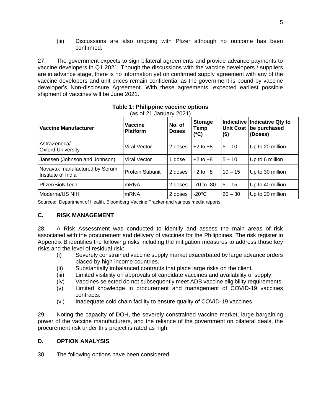(iii) Discussions are also ongoing with Pfizer although no outcome has been confirmed.

27. The government expects to sign bilateral agreements and provide advance payments to vaccine developers in Q1 2021. Though the discussions with the vaccine developers / suppliers are in advance stage, there is no information yet on confirmed supply agreement with any of the vaccine developers and unit prices remain confidential as the government is bound by vaccine developer's Non-disclosure Agreement. With these agreements, expected earliest possible shipment of vaccines will be June 2021.

| <b>Vaccine Manufacturer</b>                         | <b>Vaccine</b><br><b>Platform</b> | <b>Storage</b><br>No. of<br>Temp<br><b>Doses</b><br>$(^{\circ}C)$ |                 | <b>Unit Cost</b><br>(\$) | Indicative   Indicative Qty to<br>be purchased<br>(Doses) |  |
|-----------------------------------------------------|-----------------------------------|-------------------------------------------------------------------|-----------------|--------------------------|-----------------------------------------------------------|--|
| AstraZeneca/<br><b>Oxford University</b>            | Viral Vector                      | 2 doses                                                           | $+2$ to $+8$    | $5 - 10$                 | Up to 20 million                                          |  |
| Janssen (Johnson and Johnson)                       | <b>Viral Vector</b>               | dose                                                              | $+2$ to $+8$    | $5 - 10$                 | Up to 6 million                                           |  |
| Novavax manufactured by Serum<br>Institute of India | <b>Protein Subunit</b>            | 2 doses                                                           | $+2$ to $+8$    | $10 - 15$                | Up to 30 million                                          |  |
| Pfizer/BioNTech                                     | mRNA                              | 2 doses                                                           | $-70$ to $-80$  | $5 - 15$                 | Up to 40 million                                          |  |
| Moderna/US NIH                                      | mRNA                              | 2 doses                                                           | $-20^{\circ}$ C | $20 - 30$                | Up to 20 million                                          |  |

#### **Table 1: Philippine vaccine options** (as of 21 January 2021)

Sources: Department of Health, Bloomberg Vaccine Tracker and various media reports

## **C. RISK MANAGEMENT**

28. A Risk Assessment was conducted to identify and assess the main areas of risk associated with the procurement and delivery of vaccines for the Philippines. The risk register in Appendix B identifies the following risks including the mitigation measures to address those key risks and the level of residual risk:

- (i) Severely constrained vaccine supply market exacerbated by large advance orders placed by high income countries.
- (ii) Substantially imbalanced contracts that place large risks on the client.
- (iii) Limited visibility on approvals of candidate vaccines and availability of supply.
- (iv) Vaccines selected do not subsequently meet ADB vaccine eligibility requirements.
- (v) Limited knowledge in procurement and management of COVID-19 vaccines contracts:
- (vi) Inadequate cold chain facility to ensure quality of COVID-19 vaccines.

29. Noting the capacity of DOH, the severely constrained vaccine market, large bargaining power of the vaccine manufacturers, and the reliance of the government on bilateral deals, the procurement risk under this project is rated as high.

## **D. OPTION ANALYSIS**

30. The following options have been considered: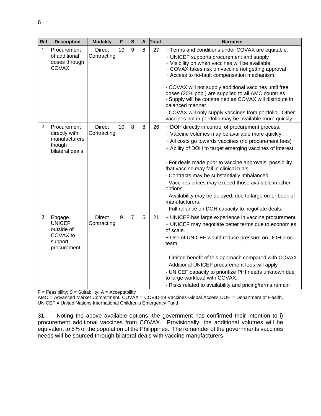| Ref            | <b>Description</b>                                                                                    | <b>Modality</b>                                                | F  | S              | A | Total | <b>Narrative</b>                                                                                                                                                                                                                                                                                                                                                                                                                                                                                                                                                                               |
|----------------|-------------------------------------------------------------------------------------------------------|----------------------------------------------------------------|----|----------------|---|-------|------------------------------------------------------------------------------------------------------------------------------------------------------------------------------------------------------------------------------------------------------------------------------------------------------------------------------------------------------------------------------------------------------------------------------------------------------------------------------------------------------------------------------------------------------------------------------------------------|
| 1              | Procurement<br>of additional<br>doses through<br>COVAX                                                | <b>Direct</b><br>Contracting                                   | 10 | 9              | 8 | 27    | + Terms and conditions under COVAX are equitable.<br>+ UNICEF supports procurement and supply<br>+ Visibility on when vaccines will be available.<br>+ COVAX takes risk on vaccine not getting approval<br>+ Access to no-fault compensation mechanism.<br>- COVAX will not supply additional vaccines until free<br>doses (20% pop.) are supplied to all AMC countries.<br>- Supply will be constrained as COVAX will distribute in<br>balanced manner.<br>- COVAX will only supply vaccines from portfolio. Other<br>vaccines not in portfolio may be available more quickly.                |
| $\overline{c}$ | Procurement<br>directly with<br>manufacturers<br>though<br>bilateral deals                            | <b>Direct</b><br>Contracting                                   | 10 | 8              | 8 | 26    | + DOH directly in control of procurement process.<br>+ Vaccine volumes may be available more quickly.<br>+ All costs go towards vaccines (no procurement fees)<br>+ Ability of DOH to target emerging vaccines of interest.<br>- For deals made prior to vaccine approvals, possibility<br>that vaccine may fail in clinical trials<br>- Contracts may be substantially imbalanced.<br>- Vaccines prices may exceed those available in other<br>options.<br>- Availability may be delayed, due to large order book of<br>manufacturers.<br>- Full reliance on DOH capacity to negotiate deals. |
| 3              | Engage<br><b>UNICEF</b><br>outside of<br>COVAX to<br>support<br>procurement<br><b>Star String Co.</b> | <b>Direct</b><br>Contracting<br>$\Omega$ . The Line of the set | 9  | $\overline{7}$ | 5 | 21    | + UNICEF has large experience in vaccine procurement<br>+ UNICEF may negotiate better terms due to economies<br>of scale.<br>+ Use of UNICEF would reduce pressure on DOH proc.<br>team<br>- Limited benefit of this approach compared with COVAX<br>- Additional UNICEF procurement fees will apply<br>- UNICEF capacity to prioritize PHI needs unknown due<br>to large workload with COVAX.<br>- Risks related to availability and pricing/terms remain                                                                                                                                     |

 $F = Feasibility$ ;  $S = Suitability$ ;  $A = Acceptability$ 

AMC = Advanced Market Commitment, COVAX = COVID-19 Vaccines Global Access DOH = Department of Health, UNICEF = United Nations International Children's Emergency Fund

31. Noting the above available options, the government has confirmed their intention to i) procurement additional vaccines from COVAX. Provisionally, the additional volumes will be equivalent to 5% of the population of the Philippines. The remainder of the governments vaccines needs will be sourced through bilateral deals with vaccine manufacturers.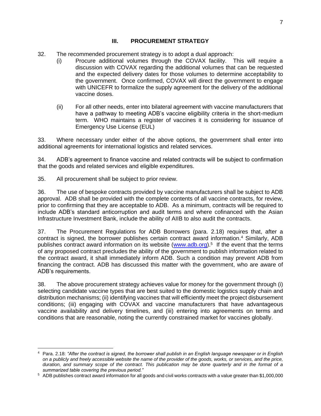## **III. PROCUREMENT STRATEGY**

- 32. The recommended procurement strategy is to adopt a dual approach:
	- (i) Procure additional volumes through the COVAX facility. This will require a discussion with COVAX regarding the additional volumes that can be requested and the expected delivery dates for those volumes to determine acceptability to the government. Once confirmed, COVAX will direct the government to engage with UNICEFR to formalize the supply agreement for the delivery of the additional vaccine doses.
	- (ii) For all other needs, enter into bilateral agreement with vaccine manufacturers that have a pathway to meeting ADB's vaccine eligibility criteria in the short-medium term. WHO maintains a register of vaccines it is considering for issuance of Emergency Use License (EUL)

33. Where necessary under either of the above options, the government shall enter into additional agreements for international logistics and related services.

34. ADB's agreement to finance vaccine and related contracts will be subject to confirmation that the goods and related services and eligible expenditures.

35. All procurement shall be subject to prior review.

36. The use of bespoke contracts provided by vaccine manufacturers shall be subject to ADB approval. ADB shall be provided with the complete contents of all vaccine contracts, for review, prior to confirming that they are acceptable to ADB. As a minimum, contracts will be required to include ADB's standard anticorruption and audit terms and where cofinanced with the Asian Infrastructure Investment Bank, include the ability of AIIB to also audit the contracts.

37. The Procurement Regulations for ADB Borrowers (para. 2.18) requires that, after a contract is signed, the borrower publishes certain contract award information.<sup>4</sup> Similarly, ADB publishes contract award information on its website [\(www.adb.org\)](http://www.adb.org/).<sup>5</sup> If the event that the terms of any proposed contract precludes the ability of the government to publish information related to the contract award, it shall immediately inform ADB. Such a condition may prevent ADB from financing the contract. ADB has discussed this matter with the government, who are aware of ADB's requirements.

38. The above procurement strategy achieves value for money for the government through (i) selecting candidate vaccine types that are best suited to the domestic logistics supply chain and distribution mechanisms; (ii) identifying vaccines that will efficiently meet the project disbursement conditions; (iii) engaging with COVAX and vaccine manufacturers that have advantageous vaccine availability and delivery timelines, and (iii) entering into agreements on terms and conditions that are reasonable, noting the currently constrained market for vaccines globally.

<sup>4</sup> Para. 2.18: *"After the contract is signed, the borrower shall publish in an English language newspaper or in English on a publicly and freely accessible website the name of the provider of the goods, works, or services, and the price, duration, and summary scope of the contract. This publication may be done quarterly and in the format of a summarized table covering the previous period."*

<sup>5</sup> ADB publishes contract award information for all goods and civil works contracts with a value greater than \$1,000,000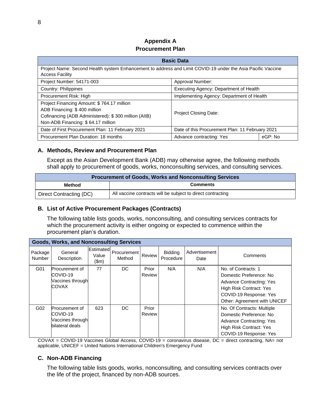## **Appendix A Procurement Plan**

| <b>Basic Data</b>                                                                                                                                                        |                                                 |  |  |  |  |  |  |  |
|--------------------------------------------------------------------------------------------------------------------------------------------------------------------------|-------------------------------------------------|--|--|--|--|--|--|--|
| Project Name: Second Health system Enhancement to address and Limit COVID-19 under the Asia Pacific Vaccine<br><b>Access Facility</b>                                    |                                                 |  |  |  |  |  |  |  |
| Project Number: 54171-003<br>Approval Number:                                                                                                                            |                                                 |  |  |  |  |  |  |  |
| Country: Philippines                                                                                                                                                     | Executing Agency: Department of Health          |  |  |  |  |  |  |  |
| Implementing Agency: Department of Health<br>Procurement Risk: High                                                                                                      |                                                 |  |  |  |  |  |  |  |
| Project Financing Amount: \$764.17 million<br>ADB Financing: \$400 million<br>Cofinancing (ADB Administered): \$300 million (AIIB)<br>Non-ADB Financing: \$64.17 million | <b>Project Closing Date:</b>                    |  |  |  |  |  |  |  |
| Date of First Procurement Plan: 11 February 2021                                                                                                                         | Date of this Procurement Plan: 11 February 2021 |  |  |  |  |  |  |  |
| Procurement Plan Duration: 18 months                                                                                                                                     | eGP: No<br>Advance contracting: Yes             |  |  |  |  |  |  |  |

## **A. Methods, Review and Procurement Plan**

Except as the Asian Development Bank (ADB) may otherwise agree, the following methods shall apply to procurement of goods, works, nonconsulting services, and consulting services.

| <b>Procurement of Goods, Works and Nonconsulting Services</b> |                                                             |  |  |  |
|---------------------------------------------------------------|-------------------------------------------------------------|--|--|--|
| <b>Comments</b><br><b>Method</b>                              |                                                             |  |  |  |
| Direct Contracting (DC)                                       | All vaccine contracts will be subject to direct contracting |  |  |  |

#### **B. List of Active Procurement Packages (Contracts)**

The following table lists goods, works, nonconsulting, and consulting services contracts for which the procurement activity is either ongoing or expected to commence within the procurement plan's duration.

| <b>Goods, Works, and Nonconsulting Services</b> |                                                                   |                             |                       |                        |                      |                       |                                                                                                                                                                        |  |  |  |  |
|-------------------------------------------------|-------------------------------------------------------------------|-----------------------------|-----------------------|------------------------|----------------------|-----------------------|------------------------------------------------------------------------------------------------------------------------------------------------------------------------|--|--|--|--|
| Package<br>Number                               | General<br>Description                                            | Estimated<br>Value<br>\$m\$ | Procurement<br>Method | Review                 | Bidding<br>Procedure | Advertisement<br>Date | Comments                                                                                                                                                               |  |  |  |  |
| G01                                             | Procurement of<br>COVID-19<br>Vaccines through<br>COVAX           | 77                          | DC.                   | Prior<br><b>Review</b> | N/A                  | N/A                   | No. of Contracts: 1<br>Domestic Preference: No<br><b>Advance Contracting: Yes</b><br>High Risk Contract: Yes<br>COVID-19 Response: Yes<br>Other: Agreement with UNICEF |  |  |  |  |
| G02                                             | Procurement of<br>COVID-19<br>Vaccines through<br>bilateral deals | 623                         | DC.                   | Prior<br>Review        |                      |                       | No. Of Contracts: Multiple<br>Domestic Preference: No<br><b>Advance Contracting: Yes</b><br>High Risk Contract: Yes<br>COVID-19 Response: Yes                          |  |  |  |  |

COVAX = COVID-19 Vaccines Global Access, COVID-19 = coronavirus disease, DC = direct contracting, NA= not applicable, UNICEF = United Nations International Children's Emergency Fund

#### **C. Non-ADB Financing**

The following table lists goods, works, nonconsulting, and consulting services contracts over the life of the project, financed by non-ADB sources.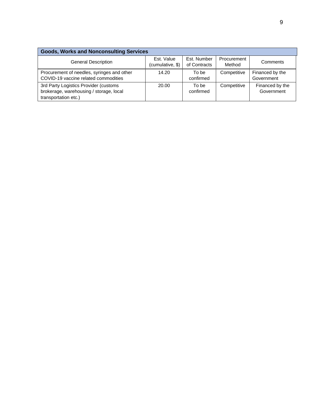| <b>Goods, Works and Nonconsulting Services</b> |                  |              |             |                 |  |  |  |  |  |
|------------------------------------------------|------------------|--------------|-------------|-----------------|--|--|--|--|--|
| <b>General Description</b>                     | Est. Value       | Est. Number  | Procurement | Comments        |  |  |  |  |  |
|                                                | (cumulative, \$) | of Contracts | Method      |                 |  |  |  |  |  |
| Procurement of needles, syringes and other     | 14.20            | To be        | Competitive | Financed by the |  |  |  |  |  |
| COVID-19 vaccine related commodities           |                  | confirmed    |             | Government      |  |  |  |  |  |
| 3rd Party Logistics Provider (customs          | 20.00            | To be        | Competitive | Financed by the |  |  |  |  |  |
| brokerage, warehousing / storage, local        |                  | confirmed    |             | Government      |  |  |  |  |  |
| transportation etc.)                           |                  |              |             |                 |  |  |  |  |  |